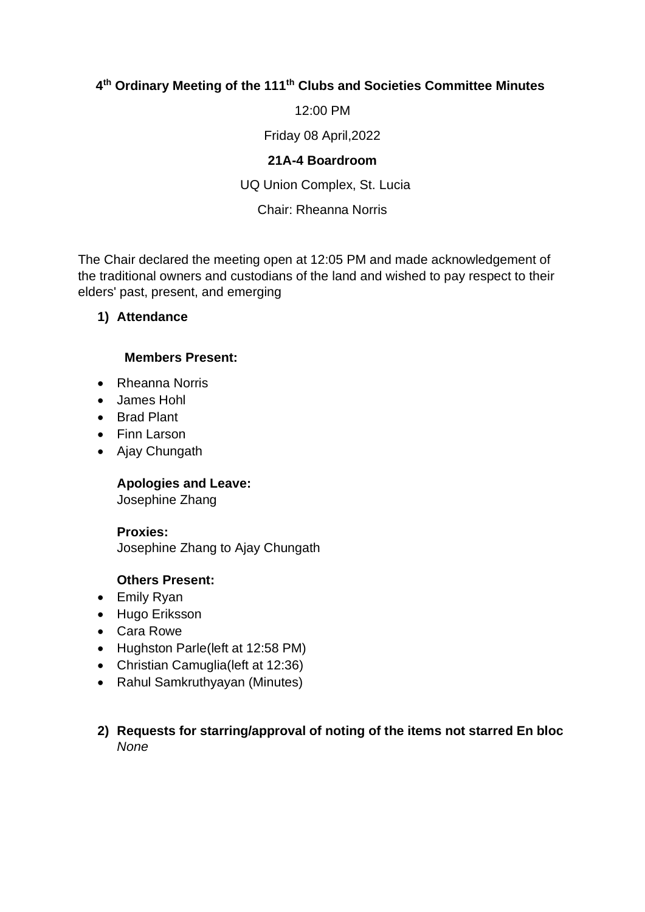# **4 th Ordinary Meeting of the 111th Clubs and Societies Committee Minutes**

12:00 PM

Friday 08 April,2022

#### **21A-4 Boardroom**

UQ Union Complex, St. Lucia

## Chair: Rheanna Norris

The Chair declared the meeting open at 12:05 PM and made acknowledgement of the traditional owners and custodians of the land and wished to pay respect to their elders' past, present, and emerging

## **1) Attendance**

#### **Members Present:**

- Rheanna Norris
- James Hohl
- Brad Plant
- Finn Larson
- Ajay Chungath

## **Apologies and Leave:**

Josephine Zhang

#### **Proxies:**

Josephine Zhang to Ajay Chungath

## **Others Present:**

- Emily Ryan
- Hugo Eriksson
- Cara Rowe
- Hughston Parle(left at 12:58 PM)
- Christian Camuglia (left at 12:36)
- Rahul Samkruthyayan (Minutes)
- **2) Requests for starring/approval of noting of the items not starred En bloc** *None*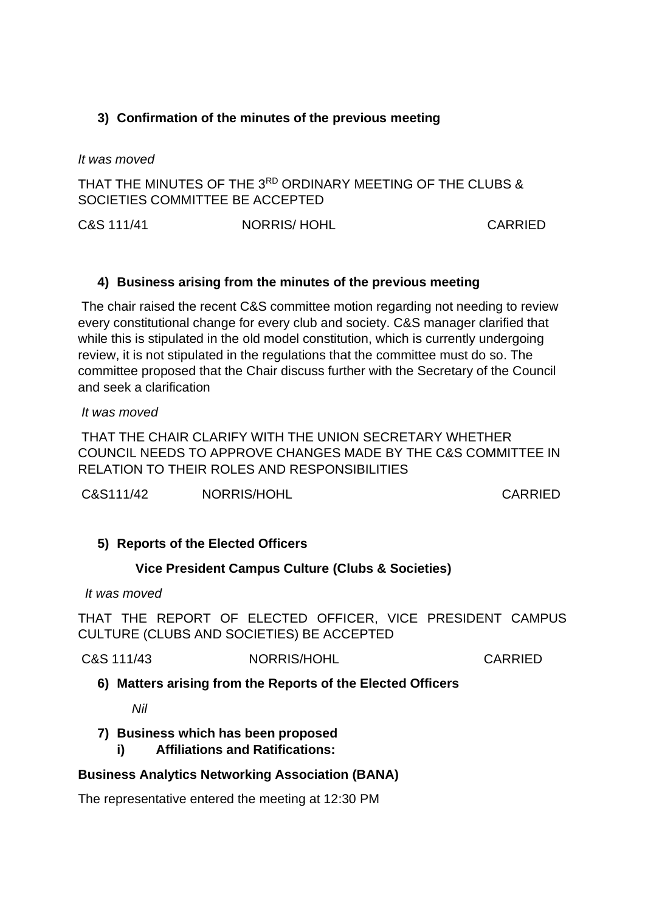# **3) Confirmation of the minutes of the previous meeting**

*It was moved*

THAT THE MINUTES OF THE 3RD ORDINARY MEETING OF THE CLUBS & SOCIETIES COMMITTEE BE ACCEPTED

C&S 111/41 NORRIS/ HOHL CARRIED

## **4) Business arising from the minutes of the previous meeting**

The chair raised the recent C&S committee motion regarding not needing to review every constitutional change for every club and society. C&S manager clarified that while this is stipulated in the old model constitution, which is currently undergoing review, it is not stipulated in the regulations that the committee must do so. The committee proposed that the Chair discuss further with the Secretary of the Council and seek a clarification

*It was moved*

THAT THE CHAIR CLARIFY WITH THE UNION SECRETARY WHETHER COUNCIL NEEDS TO APPROVE CHANGES MADE BY THE C&S COMMITTEE IN RELATION TO THEIR ROLES AND RESPONSIBILITIES

C&S111/42 NORRIS/HOHL CARRIED

## **5) Reports of the Elected Officers**

## **Vice President Campus Culture (Clubs & Societies)**

*It was moved*

THAT THE REPORT OF ELECTED OFFICER, VICE PRESIDENT CAMPUS CULTURE (CLUBS AND SOCIETIES) BE ACCEPTED

C&S 111/43 NORRIS/HOHL CARRIED

**6) Matters arising from the Reports of the Elected Officers**

*Nil*

## **7) Business which has been proposed**

**i) Affiliations and Ratifications:**

## **Business Analytics Networking Association (BANA)**

The representative entered the meeting at 12:30 PM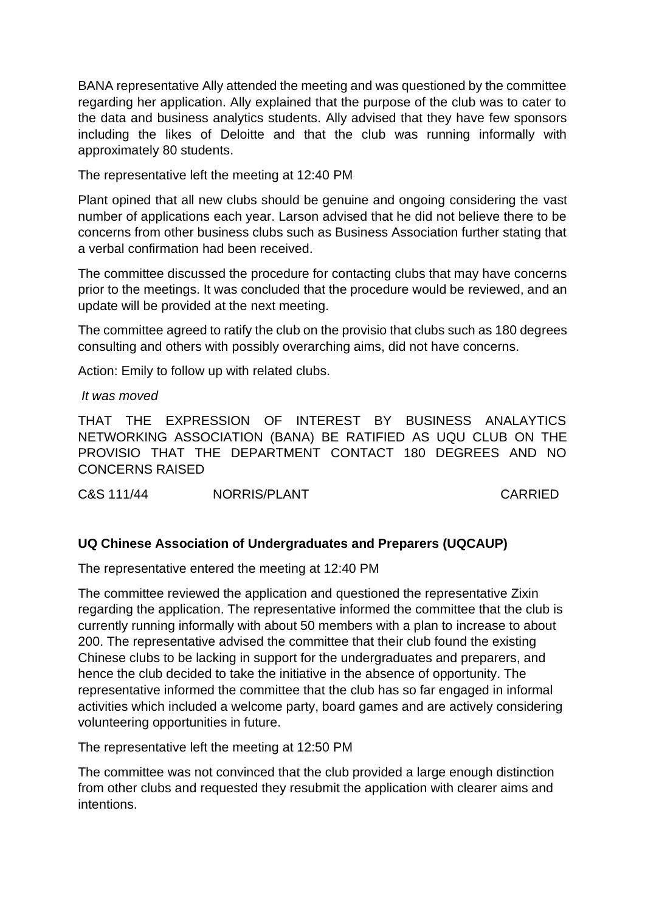BANA representative Ally attended the meeting and was questioned by the committee regarding her application. Ally explained that the purpose of the club was to cater to the data and business analytics students. Ally advised that they have few sponsors including the likes of Deloitte and that the club was running informally with approximately 80 students.

The representative left the meeting at 12:40 PM

Plant opined that all new clubs should be genuine and ongoing considering the vast number of applications each year. Larson advised that he did not believe there to be concerns from other business clubs such as Business Association further stating that a verbal confirmation had been received.

The committee discussed the procedure for contacting clubs that may have concerns prior to the meetings. It was concluded that the procedure would be reviewed, and an update will be provided at the next meeting.

The committee agreed to ratify the club on the provisio that clubs such as 180 degrees consulting and others with possibly overarching aims, did not have concerns.

Action: Emily to follow up with related clubs.

*It was moved*

THAT THE EXPRESSION OF INTEREST BY BUSINESS ANALAYTICS NETWORKING ASSOCIATION (BANA) BE RATIFIED AS UQU CLUB ON THE PROVISIO THAT THE DEPARTMENT CONTACT 180 DEGREES AND NO CONCERNS RAISED

C&S 111/44 NORRIS/PLANT CARRIED

## **UQ Chinese Association of Undergraduates and Preparers (UQCAUP)**

The representative entered the meeting at 12:40 PM

The committee reviewed the application and questioned the representative Zixin regarding the application. The representative informed the committee that the club is currently running informally with about 50 members with a plan to increase to about 200. The representative advised the committee that their club found the existing Chinese clubs to be lacking in support for the undergraduates and preparers, and hence the club decided to take the initiative in the absence of opportunity. The representative informed the committee that the club has so far engaged in informal activities which included a welcome party, board games and are actively considering volunteering opportunities in future.

The representative left the meeting at 12:50 PM

The committee was not convinced that the club provided a large enough distinction from other clubs and requested they resubmit the application with clearer aims and intentions.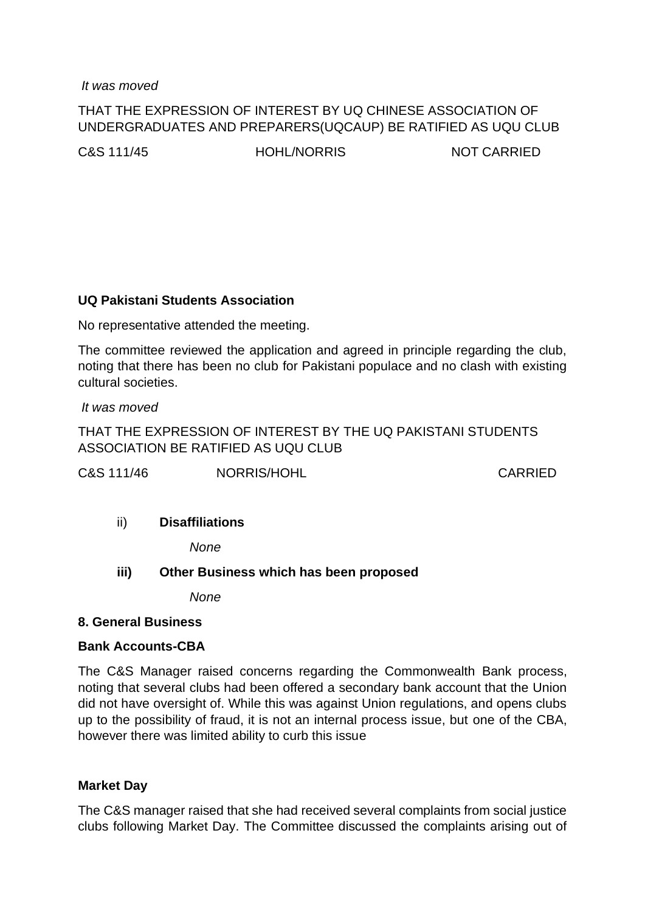*It was moved*

## THAT THE EXPRESSION OF INTEREST BY UQ CHINESE ASSOCIATION OF UNDERGRADUATES AND PREPARERS(UQCAUP) BE RATIFIED AS UQU CLUB

C&S 111/45 HOHL/NORRIS NOT CARRIED

#### **UQ Pakistani Students Association**

No representative attended the meeting.

The committee reviewed the application and agreed in principle regarding the club, noting that there has been no club for Pakistani populace and no clash with existing cultural societies.

*It was moved*

THAT THE EXPRESSION OF INTEREST BY THE UQ PAKISTANI STUDENTS ASSOCIATION BE RATIFIED AS UQU CLUB

C&S 111/46 NORRIS/HOHL CARRIED

## ii) **Disaffiliations**

*None*

#### **iii) Other Business which has been proposed**

*None*

#### **8. General Business**

#### **Bank Accounts-CBA**

The C&S Manager raised concerns regarding the Commonwealth Bank process, noting that several clubs had been offered a secondary bank account that the Union did not have oversight of. While this was against Union regulations, and opens clubs up to the possibility of fraud, it is not an internal process issue, but one of the CBA, however there was limited ability to curb this issue

#### **Market Day**

The C&S manager raised that she had received several complaints from social justice clubs following Market Day. The Committee discussed the complaints arising out of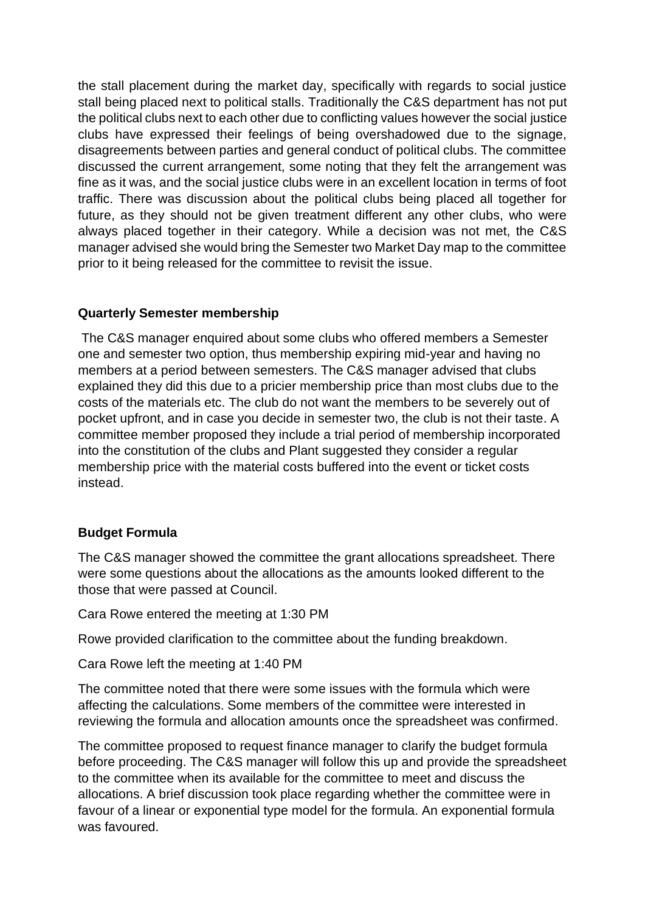the stall placement during the market day, specifically with regards to social justice stall being placed next to political stalls. Traditionally the C&S department has not put the political clubs next to each other due to conflicting values however the social justice clubs have expressed their feelings of being overshadowed due to the signage, disagreements between parties and general conduct of political clubs. The committee discussed the current arrangement, some noting that they felt the arrangement was fine as it was, and the social justice clubs were in an excellent location in terms of foot traffic. There was discussion about the political clubs being placed all together for future, as they should not be given treatment different any other clubs, who were always placed together in their category. While a decision was not met, the C&S manager advised she would bring the Semester two Market Day map to the committee prior to it being released for the committee to revisit the issue.

## **Quarterly Semester membership**

The C&S manager enquired about some clubs who offered members a Semester one and semester two option, thus membership expiring mid-year and having no members at a period between semesters. The C&S manager advised that clubs explained they did this due to a pricier membership price than most clubs due to the costs of the materials etc. The club do not want the members to be severely out of pocket upfront, and in case you decide in semester two, the club is not their taste. A committee member proposed they include a trial period of membership incorporated into the constitution of the clubs and Plant suggested they consider a regular membership price with the material costs buffered into the event or ticket costs instead.

## **Budget Formula**

The C&S manager showed the committee the grant allocations spreadsheet. There were some questions about the allocations as the amounts looked different to the those that were passed at Council.

Cara Rowe entered the meeting at 1:30 PM

Rowe provided clarification to the committee about the funding breakdown.

Cara Rowe left the meeting at 1:40 PM

The committee noted that there were some issues with the formula which were affecting the calculations. Some members of the committee were interested in reviewing the formula and allocation amounts once the spreadsheet was confirmed.

The committee proposed to request finance manager to clarify the budget formula before proceeding. The C&S manager will follow this up and provide the spreadsheet to the committee when its available for the committee to meet and discuss the allocations. A brief discussion took place regarding whether the committee were in favour of a linear or exponential type model for the formula. An exponential formula was favoured.